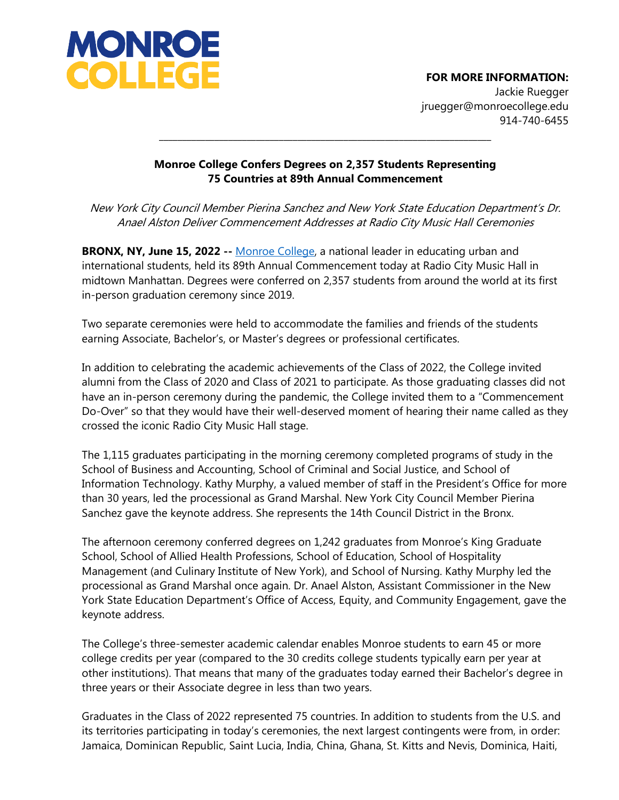

## **FOR MORE INFORMATION:**

Jackie Ruegger jruegger@monroecollege.edu 914-740-6455

## **Monroe College Confers Degrees on 2,357 Students Representing 75 Countries at 89th Annual Commencement**

**\_\_\_\_\_\_\_\_\_\_\_\_\_\_\_\_\_\_\_\_\_\_\_\_\_\_\_\_\_\_\_\_\_\_\_\_\_\_\_\_\_\_\_\_\_\_\_\_\_\_\_\_\_\_\_\_\_\_\_\_\_\_\_\_\_\_\_\_\_\_\_\_**

New York City Council Member Pierina Sanchez and New York State Education Department's Dr. Anael Alston Deliver Commencement Addresses at Radio City Music Hall Ceremonies

**BRONX, NY, June 15, 2022 --** [Monroe College,](http://www.monroecollege.edu/) a national leader in educating urban and international students, held its 89th Annual Commencement today at Radio City Music Hall in midtown Manhattan. Degrees were conferred on 2,357 students from around the world at its first in-person graduation ceremony since 2019.

Two separate ceremonies were held to accommodate the families and friends of the students earning Associate, Bachelor's, or Master's degrees or professional certificates.

In addition to celebrating the academic achievements of the Class of 2022, the College invited alumni from the Class of 2020 and Class of 2021 to participate. As those graduating classes did not have an in-person ceremony during the pandemic, the College invited them to a "Commencement Do-Over" so that they would have their well-deserved moment of hearing their name called as they crossed the iconic Radio City Music Hall stage.

The 1,115 graduates participating in the morning ceremony completed programs of study in the School of Business and Accounting, School of Criminal and Social Justice, and School of Information Technology. Kathy Murphy, a valued member of staff in the President's Office for more than 30 years, led the processional as Grand Marshal. New York City Council Member Pierina Sanchez gave the keynote address. She represents the 14th Council District in the Bronx.

The afternoon ceremony conferred degrees on 1,242 graduates from Monroe's King Graduate School, School of Allied Health Professions, School of Education, School of Hospitality Management (and Culinary Institute of New York), and School of Nursing. Kathy Murphy led the processional as Grand Marshal once again. Dr. Anael Alston, Assistant Commissioner in the New York State Education Department's Office of Access, Equity, and Community Engagement, gave the keynote address.

The College's three-semester academic calendar enables Monroe students to earn 45 or more college credits per year (compared to the 30 credits college students typically earn per year at other institutions). That means that many of the graduates today earned their Bachelor's degree in three years or their Associate degree in less than two years.

Graduates in the Class of 2022 represented 75 countries. In addition to students from the U.S. and its territories participating in today's ceremonies, the next largest contingents were from, in order: Jamaica, Dominican Republic, Saint Lucia, India, China, Ghana, St. Kitts and Nevis, Dominica, Haiti,